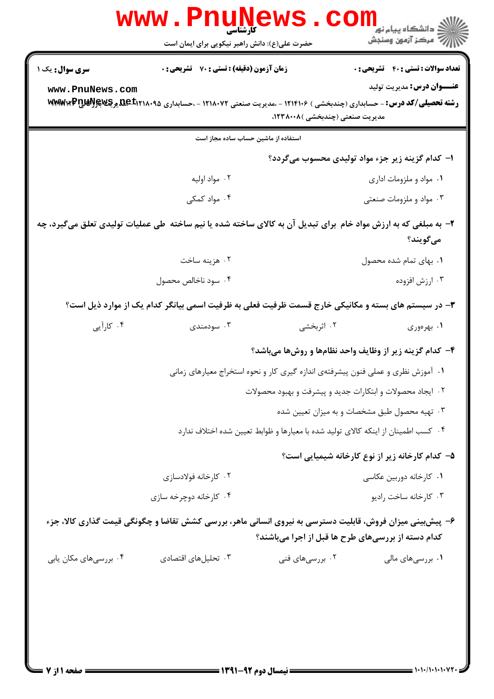|                        | <b>www.PnuNews</b><br>کارشناسی                                                                                 |                                 |                                                                                   |
|------------------------|----------------------------------------------------------------------------------------------------------------|---------------------------------|-----------------------------------------------------------------------------------|
|                        | حضرت علی(ع): دانش راهبر نیکویی برای ایمان است                                                                  |                                 |                                                                                   |
| <b>سری سوال :</b> یک ۱ | زمان آزمون (دقیقه) : تستی : 70 گشریحی : 0                                                                      |                                 | <b>تعداد سوالات : تستی : 40 ٪ تشریحی : 0</b>                                      |
| www.PnuNews.com        |                                                                                                                |                                 | <b>عنـــوان درس:</b> مديريت توليد                                                 |
|                        | رشته تحصیلی/کد درس: - حسابداری (چندبخشی ) ۱۲۱۴۱۰۶ - ،مدیریت صنعتی ۱۲۱۸۰۷۲ - ،حسابداری ۱۴۵۵/۵۹۵ یوچکاپرMWW۳P    | مدیریت صنعتی (چندبخشی )۱۲۳۸۰۰۸، |                                                                                   |
|                        | استفاده از ماشین حساب ساده مجاز است                                                                            |                                 |                                                                                   |
|                        |                                                                                                                |                                 | ا– کدام گزینه زیر جزء مواد تولیدی محسوب میگردد؟                                   |
|                        | ٠٢ مواد اوليه                                                                                                  |                                 | ۰۱ مواد و ملزومات اداری                                                           |
|                        | ۰۴ مواد کمکی                                                                                                   |                                 | ۰۳ مواد و ملزومات صنعتی                                                           |
|                        | ۲- به مبلغی که به ارزش مواد خام برای تبدیل آن به کالای ساخته شده یا نیم ساخته طی عملیات تولیدی تعلق میگیرد، چه |                                 |                                                                                   |
|                        |                                                                                                                |                                 | ميگويند؟                                                                          |
|                        | ۰۲ هزینه ساخت                                                                                                  |                                 | ۰۱ بهای تمام شده محصول                                                            |
|                        | ۰۴ سود ناخالص محصول                                                                                            |                                 | ۰۳ ارزش افزوده                                                                    |
|                        | ۳- در سیستم های بسته و مکانیکی خارج قسمت ظرفیت فعلی به ظرفیت اسمی بیانگر کدام یک از موارد ذیل است؟             |                                 |                                                                                   |
| ۰۴ کارآیی              | ۰۳ سودمندی                                                                                                     | ۰۲ اثربخشی                      | ۰۱ بهرهوری                                                                        |
|                        |                                                                                                                |                                 | ۴- کدام گزینه زیر از وظایف واحد نظامها و روشها میباشد؟                            |
|                        |                                                                                                                |                                 | ۰۱ آموزش نظری و عملی فنون پیشرفتهی اندازه گیری کار و نحوه استخراج معیارهای زمانی  |
|                        |                                                                                                                |                                 | ٠٢ ايجاد محصولات و ابتكارات جديد و پيشرفت و بهبود محصولات                         |
|                        |                                                                                                                |                                 | ۰۳ تهیه محصول طبق مشخصات و به میزان تعیین شده                                     |
|                        |                                                                                                                |                                 | ۰۴ کسب اطمینان از اینکه کالای تولید شده با معیارها و ظوابط تعیین شده اختلاف ندارد |
|                        |                                                                                                                |                                 | ۵– کدام کارخانه زیر از نوع کارخانه شیمیایی است؟                                   |
|                        | ۰۲ کارخانه فولادسازی                                                                                           |                                 | ۰۱ کارخانه دوربین عکاسی                                                           |
|                        | ۰۴ کارخانه دوچرخه سازی                                                                                         |                                 | ۰۳ کارخانه ساخت راديو                                                             |
|                        | ۶– پیشبینی میزان فروش، قابلیت دسترسی به نیروی انسانی ماهر، بررسی کشش تقاضا و چگونگی قیمت گذاری کالا، جزء       |                                 | کدام دسته از بررسیهای طرح ها قبل از اجرا میباشند؟                                 |
| ۰۴ بررسیهای مکان یابی  | ۰۳ تحلیلهای اقتصادی                                                                                            | ۰۲ بررسیهای فنی                 | ۰۱ بررسیهای مالی                                                                  |
|                        |                                                                                                                |                                 |                                                                                   |
|                        |                                                                                                                |                                 |                                                                                   |
|                        |                                                                                                                |                                 |                                                                                   |
|                        |                                                                                                                |                                 |                                                                                   |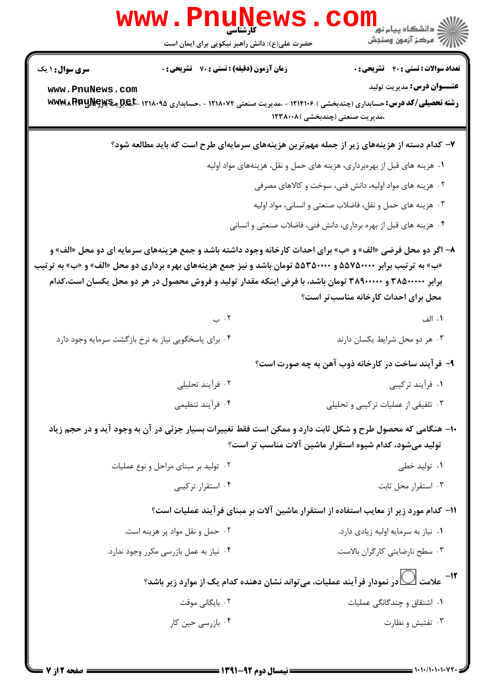|                        | www.PnuN                                             | ڪ دانشڪاه پيا <sub>م</sub> نور<br><mark>√</mark> مرڪز آزمون وسنڊش                                                                                                                                                                                                                                                                                                            |
|------------------------|------------------------------------------------------|------------------------------------------------------------------------------------------------------------------------------------------------------------------------------------------------------------------------------------------------------------------------------------------------------------------------------------------------------------------------------|
|                        | حضرت علی(ع): دانش راهبر نیکویی برای ایمان است        |                                                                                                                                                                                                                                                                                                                                                                              |
| <b>سری سوال : ۱ یک</b> | زمان آزمون (دقیقه) : تستی : 70 گشریحی : 0            | <b>تعداد سوالات : تستی : 40 ٪ تشریحی : 0</b>                                                                                                                                                                                                                                                                                                                                 |
| www.PnuNews.com        |                                                      | <b>عنـــوان درس:</b> مدیریت تولید<br><b>رشته تحصیلی/کد درس:</b> حسابداری (چندبخشی ) ۱۲۱۴۱۰۶ - ،مدیریت صنعتی ۱۲۱۸۰۷۲ - ،حسابداری ۱۲۱۸۰۹۵ <b>-ABL و WWMARRUME</b> y<br>،مدیریت صنعتی (چندبخشی )۱۲۳۸۰۰۸                                                                                                                                                                         |
|                        |                                                      | ۷– کدام دسته از هزینههای زیر از جمله مهمترین هزینههای سرمایهای طرح است که باید مطالعه شود؟                                                                                                                                                                                                                                                                                   |
|                        |                                                      | ۰۱ هزینه های قبل از بهرهبرداری، هزینه های حمل و نقل، هزینههای مواد اولیه                                                                                                                                                                                                                                                                                                     |
|                        |                                                      | ۰۲ هزینه های مواد اولیه، دانش فنی، سوخت و کالاهای مصرفی                                                                                                                                                                                                                                                                                                                      |
|                        |                                                      | ۰۳ هزینه های حمل و نقل، فاضلاب صنعتی و انسانی، مواد اولیه                                                                                                                                                                                                                                                                                                                    |
|                        |                                                      | ۰۴ هزینه های قبل از بهره برداری، دانش فنی، فاضلاب صنعتی و انسانی                                                                                                                                                                                                                                                                                                             |
|                        |                                                      | ۸− اگر دو محل فرضی «الف» و «ب» برای احداث کارخانه وجود داشته باشد و جمع هزینههای سرمایه ای دو محل «الف» و<br>«ب» به ترتیب برابر ۵۵۷۵۰۰۰۰ و ۵۵۳۵۰۰۰۰ تومان باشد و نیز جمع هزینههای بهره برداری دو محل «الف» و «ب» به ترتیب<br>برابر ۳۸۵۰۰۰۰۰ و ۳۸۹۰۰۰۰۰ تومان باشد، با فرض اینکه مقدار تولید و فروش محصول در هر دو محل یکسان است،کدام<br>محل برای احداث کارخانه مناسب تر است؟ |
|                        | ۰۲ ب                                                 | ۰۱ الف                                                                                                                                                                                                                                                                                                                                                                       |
|                        | ۰۴ برای پاسخگویی نیاز به نرخ بازگشت سرمایه وجود دارد | ۰۳ هر دو محل شرایط یکسان دارند                                                                                                                                                                                                                                                                                                                                               |
|                        |                                                      | ۹- فرآیند ساخت در کارخانه ذوب آهن به چه صورت است؟                                                                                                                                                                                                                                                                                                                            |
|                        | ۰۲ فرآیند تحلیلی                                     | ۰۱ فرآیند ترکیبی                                                                                                                                                                                                                                                                                                                                                             |
|                        | ۰۴ فرآیند تنظیمی                                     | ۰۳ تلفیقی از عملیات ترکیبی و تحلیلی                                                                                                                                                                                                                                                                                                                                          |
|                        |                                                      | ۱۰- هنگامی که محصول طرح و شکل ثابت دارد و ممکن است فقط تغییرات بسیار جزئی در آن به وجود آید و در حجم زیاد<br>تولید میشود، کدام شیوه استقرار ماشین آلات مناسب تر است؟                                                                                                                                                                                                         |
|                        | ۰۲ تولید بر مبنای مراحل و نوع عملیات                 | ۰۱ تولید خطی                                                                                                                                                                                                                                                                                                                                                                 |
|                        | ۰۴ استقرار ترکیبی                                    | ۰۳ استقرار محل ثابت                                                                                                                                                                                                                                                                                                                                                          |
|                        |                                                      | اا− کدام مورد زیر از معایب استفاده از استقرار ماشین آلات بر مبنای فر آیند عملیات است؟                                                                                                                                                                                                                                                                                        |
|                        | ۰۲ حمل و نقل مواد پر هزینه است.                      | ۰۱ نیاز به سرمایه اولیه زیادی دارد.                                                                                                                                                                                                                                                                                                                                          |
|                        | ۰۴ نیاز به عمل بازرسی مکرر وجود ندارد.               | ٠٣ سطح نارضايتي كاركران بالاست.                                                                                                                                                                                                                                                                                                                                              |
|                        |                                                      | ۱۲ - علامت $\bigcup$ در نمودار فر آیند عملیات، می تواند نشان دهنده کدام یک از موارد زیر باشد؟                                                                                                                                                                                                                                                                                |
|                        | ۰۲ بایگان <sub>ی</sub> موقت                          | ۰۱ اشتقاق و چندگانگی عملیات                                                                                                                                                                                                                                                                                                                                                  |
|                        | ۰۴ بازرسی حین کار                                    | ۰۳ تفتيش و نظارت                                                                                                                                                                                                                                                                                                                                                             |
|                        |                                                      |                                                                                                                                                                                                                                                                                                                                                                              |

 $= 1 - 1 - 1 - 1 - 1 - 1$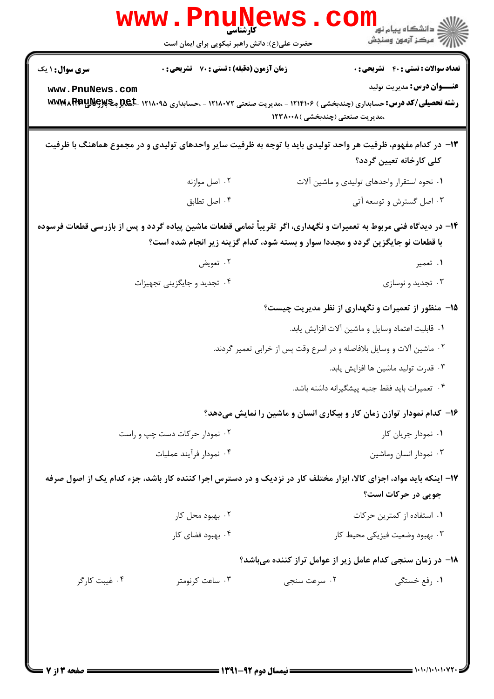|                                                                     | <mark>ڪ دانشڪاه پيام نور</mark><br>رآب آمرڪز آزمون وسنڊش<br>حضرت علی(ع): دانش راهبر نیکویی برای ایمان است                                                                                             |
|---------------------------------------------------------------------|-------------------------------------------------------------------------------------------------------------------------------------------------------------------------------------------------------|
| زمان آزمون (دقیقه) : تستی : 70 گشریحی : 0<br><b>سری سوال :</b> ۱ یک | <b>تعداد سوالات : تستي : 40 - تشريحي : 0</b>                                                                                                                                                          |
| www.PnuNews.com                                                     | <b>عنـــوان درس:</b> مديريت توليد<br><b>رشته تحصیلی/کد درس:</b> حسابداری (چندبخشی ) ۱۲۱۴۱۰۶ - ،مدیریت صنعتی ۱۲۱۸۰۷۲ - ،حسابداری ۱۲۱۸۰۹۵ ـ <b>BEX و WWMA RRUNG</b><br>،مدیریت صنعتی (چندبخشی )۱۲۳۸۰۰۸  |
|                                                                     | ۱۳- در کدام مفهوم، ظرفیت هر واحد تولیدی باید با توجه به ظرفیت سایر واحدهای تولیدی و در مجموع هماهنگ با ظرفیت<br>كلى كارخانه تعيين گردد؟                                                               |
| ۰۲ اصل موازنه                                                       | ۰۱ نحوه استقرار واحدهای تولیدی و ماشین آلات                                                                                                                                                           |
| ۰۴ اصل تطابق                                                        | ۰۳ اصل گسترش و توسعه آتی                                                                                                                                                                              |
|                                                                     | ۱۴– در دیدگاه فنی مربوط به تعمیرات و نگهداری، اگر تقریباً تمامی قطعات ماشین پیاده گردد و پس از بازرسی قطعات فرسوده<br>با قطعات نو جایگزین گردد و مجددا سوار و بسته شود، کدام گزینه زیر انجام شده است؟ |
| ۰۲ تعويض                                                            | ۰۱ تعمیر                                                                                                                                                                                              |
| ۰۴ تجدید و جایگزینی تجهیزات                                         | ۰۳ تجدید و نوسازی                                                                                                                                                                                     |
|                                                                     | ۱۵− منظور از تعمیرات و نگهداری از نظر مدیریت چیست؟                                                                                                                                                    |
|                                                                     | ٠١ قابليت اعتماد وسايل و ماشين آلات افزايش يابد.                                                                                                                                                      |
|                                                                     | ۰۲ ماشین آلات و وسایل بلافاصله و در اسرع وقت پس از خرابی تعمیر گردند.                                                                                                                                 |
|                                                                     | ۰۳ قدرت تولید ماشین ها افزایش یابد.                                                                                                                                                                   |
|                                                                     | ۴. تعميرات بايد فقط جنبه پيشگيرانه داشته باشد.                                                                                                                                                        |
|                                                                     | ۱۶– کدام نمودار توازن زمان کار و بیکاری انسان و ماشین را نمایش میدهد؟                                                                                                                                 |
| ۰۲ نمودار حرکات دست چپ و راست                                       | ۰۱ نمودار جریان کار                                                                                                                                                                                   |
| ۰۴ نمودار فرآيند عمليات                                             | ۰۳ نمودار انسان وماشين                                                                                                                                                                                |
|                                                                     | ۱۷– اینکه باید مواد، اجزای کالا، ابزار مختلف کار در نزدیک و در دسترس اجرا کننده کار باشد، جزء کدام یک از اصول صرفه<br>جویی در حرکات است؟                                                              |
| ۰۲ بهبود محل کار                                                    | ۰۱ استفاده از کمترین حرکات                                                                                                                                                                            |
| ۰۴ بهبود فضای کار                                                   | ۰۳ بهبود وضعيت فيزيكي محيط كار                                                                                                                                                                        |
|                                                                     | ۱۸– در زمان سنجی کدام عامل زیر از عوامل تراز کننده میباشد؟                                                                                                                                            |
| ۰۴ غیبت کارگر<br>۰۳ ساعت کرنومتر                                    | ۰۱ رفع خستگی<br>۰۲ سرعت سنجي                                                                                                                                                                          |
|                                                                     |                                                                                                                                                                                                       |

 $= 1.1 - (1.1 - 1.1)$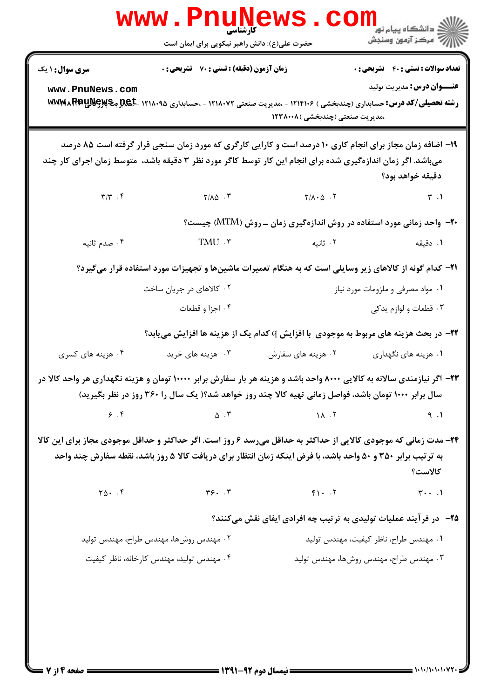|                                                                                                                                                                                                                                               | کارشناسی<br>حضرت علی(ع): دانش راهبر نیکویی برای ایمان است                                                                                                                                                                       |                                 | ر دانشڪاه پيام نور ■<br>// مرڪز آزمون وسنڊش                                 |  |
|-----------------------------------------------------------------------------------------------------------------------------------------------------------------------------------------------------------------------------------------------|---------------------------------------------------------------------------------------------------------------------------------------------------------------------------------------------------------------------------------|---------------------------------|-----------------------------------------------------------------------------|--|
| <b>سری سوال : ۱ یک</b>                                                                                                                                                                                                                        | <b>زمان آزمون (دقیقه) : تستی : 70 ٪ تشریحی : 0</b>                                                                                                                                                                              |                                 | <b>تعداد سوالات : تستی : 40 - تشریحی : 0</b>                                |  |
| www.PnuNews.com                                                                                                                                                                                                                               | <b>رشته تحصیلی/کد درس:</b> حسابداری (چندبخشی ) ۱۲۱۴۱۰۶ - ،مدیریت صنعتی ۱۲۱۸۰۷۲ - ،حسابداری ۱۲۱۸۰۹۵ ـ <b>BEX و WWMARRUNG</b> Gy                                                                                                  | ،مدیریت صنعتی (چندبخشی )۱۲۳۸۰۰۸ | <b>عنـــوان درس:</b> مديريت توليد                                           |  |
| ۱۹– اضافه زمان مجاز برای انجام کاری ۱۰ درصد است و کارایی کارگری که مورد زمان سنجی قرار گرفته است ۸۵ درصد<br>میباشد. اگر زمان اندازهگیری شده برای انجام این کار توسط کاگر مورد نظر ۳ دقیقه باشد،  متوسط زمان اجرای کار چند<br>دقيقه خواهد بود؟ |                                                                                                                                                                                                                                 |                                 |                                                                             |  |
| $\Upsilon/\Upsilon$ . $\Upsilon$                                                                                                                                                                                                              | $Y/\lambda \Delta$ .                                                                                                                                                                                                            | $Y/\lambda \cdot \Delta$ .      | $\mathbf{r}$ . 1                                                            |  |
|                                                                                                                                                                                                                                               |                                                                                                                                                                                                                                 |                                 | <b>۰۲-</b> واحد زمانی مورد استفاده در روش اندازهگیری زمان ـ روش (MTM) چیست؟ |  |
| ۰۴ صدم ثانیه                                                                                                                                                                                                                                  | TMU .r                                                                                                                                                                                                                          | ۲. ثانیه                        | ۰۱ دقیقه                                                                    |  |
|                                                                                                                                                                                                                                               | <b>۲۱</b> – کدام گونه از کالاهای زیر وسایلی است که به هنگام تعمیرات ماشینها و تجهیزات مورد استفاده قرار میگیرد؟                                                                                                                 |                                 |                                                                             |  |
|                                                                                                                                                                                                                                               | ۰۲ کالاهای در جریان ساخت                                                                                                                                                                                                        |                                 | ۰۱ مواد مصرفی و ملزومات مورد نیاز                                           |  |
|                                                                                                                                                                                                                                               | ۰۴ اجزا و قطعات                                                                                                                                                                                                                 |                                 | ۰۳ قطعات و لوازم يدكي                                                       |  |
|                                                                                                                                                                                                                                               | <b>۲۲</b> - در بحث هزینه های مربوط به موجودی  با افزایش Q کدام یک از هزینه ها افزایش مییابد؟                                                                                                                                    |                                 |                                                                             |  |
| ۰۴ هزینه های کسری                                                                                                                                                                                                                             | ۰۳ هزینه های خرید                                                                                                                                                                                                               | ۰۲ هزینه های سفارش              | ۰۱ هزینه های نگهداری                                                        |  |
|                                                                                                                                                                                                                                               | ۲۳– اگر نیازمندی سالانه به کالایی ۸۰۰۰ واحد باشد و هزینه هر بار سفارش برابر ۱۰۰۰۰ تومان و هزینه نگهداری هر واحد کالا در<br>سال برابر ۱۰۰۰ تومان باشد، فواصل زمانی تهیه کالا چند روز خواهد شد؟( یک سال را ۳۶۰ روز در نظر بگیرید) |                                 |                                                                             |  |
| 9.9                                                                                                                                                                                                                                           | $\Delta$ . ٣                                                                                                                                                                                                                    | 14.7                            | 9.1                                                                         |  |
| ۲۴- مدت زمانی که موجودی کالایی از حداکثر به حداقل میرسد ۶ روز است. اگر حداکثر و حداقل موجودی مجاز برای این کالا<br>به ترتیب برابر ۳۵۰ و ۵۰ واحد باشد، با فرض اینکه زمان انتظار برای دریافت کالا ۵ روز باشد، نقطه سفارش چند واحد<br>كالاست؟    |                                                                                                                                                                                                                                 |                                 |                                                                             |  |
| $Y_0 \cdot . f$                                                                                                                                                                                                                               | $\mathbf{y}$ . $\mathbf{y}$                                                                                                                                                                                                     | $F1 \cdot .7$                   | $\mathbf{y} \cdot \cdot \cdot \mathbf{y}$                                   |  |
| <b>۲۵</b> - در فرآیند عملیات تولیدی به ترتیب چه افرادی ایفای نقش میکنند؟                                                                                                                                                                      |                                                                                                                                                                                                                                 |                                 |                                                                             |  |
|                                                                                                                                                                                                                                               | ۰۲ مهندس روشها، مهندس طراح، مهندس توليد                                                                                                                                                                                         |                                 | ٠١ مهندس طراح، ناظر كيفيت، مهندس توليد                                      |  |
|                                                                                                                                                                                                                                               | ۰۴ مهندس تولید، مهندس کارخانه، ناظر کیفیت                                                                                                                                                                                       |                                 | ۰۳ مهندس طراح، مهندس روشها، مهندس توليد                                     |  |

 $: 1.1.11.1.1.1$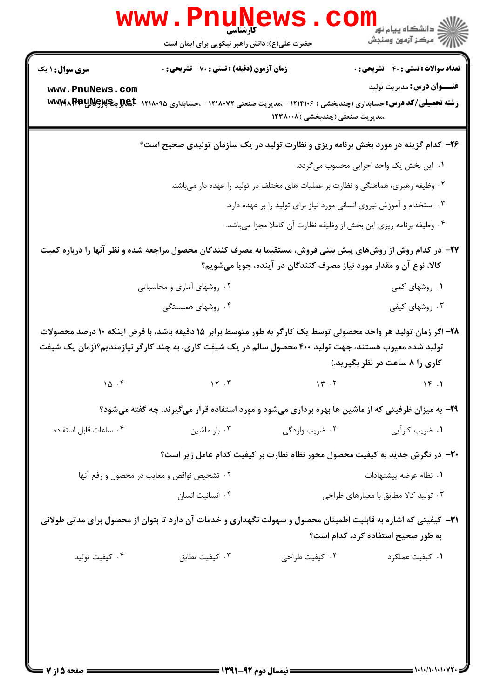| <b>تعداد سوالات : تستی : 40 - تشریحی : 0</b>                          |                                                                                                                                                                     | زمان آزمون (دقیقه) : تستی : 70 گشریحی : 0  | <b>سری سوال : ۱ یک</b>                                                                                                                                                                                                  |  |
|-----------------------------------------------------------------------|---------------------------------------------------------------------------------------------------------------------------------------------------------------------|--------------------------------------------|-------------------------------------------------------------------------------------------------------------------------------------------------------------------------------------------------------------------------|--|
| <b>عنـــوان درس:</b> مدیریت تولید                                     | <b>رشته تحصیلی/کد درس:</b> حسابداری (چندبخشی ) ۱۲۱۴۱۰۶ - ،مدیریت صنعتی ۱۲۱۸۰۷۲ - ،حسابداری ۱۲۱۸۰۹۵ <b>-ABL ِهکاپلالپاWW</b> APPU<br>،مدیریت صنعتی (چندبخشی )۱۲۳۸۰۰۸ |                                            | www.PnuNews.com                                                                                                                                                                                                         |  |
|                                                                       | ۲۶- کدام گزینه در مورد بخش برنامه ریزی و نظارت تولید در یک سازمان تولیدی صحیح است؟                                                                                  |                                            |                                                                                                                                                                                                                         |  |
| ٠١ اين بخش يک واحد اجرايي محسوب مي گردد.                              |                                                                                                                                                                     |                                            |                                                                                                                                                                                                                         |  |
|                                                                       | ۰۲ وظیفه رهبری، هماهنگی و نظارت بر عملیات های مختلف در تولید را عهده دار میباشد.                                                                                    |                                            |                                                                                                                                                                                                                         |  |
| ۰۳ استخدام و آموزش نیروی انسانی مورد نیاز برای تولید را بر عهده دارد. |                                                                                                                                                                     |                                            |                                                                                                                                                                                                                         |  |
|                                                                       | ۰۴ وظیفه برنامه ریزی این بخش از وظیفه نظارت آن کاملا مجزا میباشد.                                                                                                   |                                            |                                                                                                                                                                                                                         |  |
|                                                                       | کالا، نوع آن و مقدار مورد نیاز مصرف کنندگان در آینده، جویا میشویم؟                                                                                                  |                                            | ۲۷– در کدام روش از روشهای پیش بینی فروش، مستقیما به مصرف کنندگان محصول مراجعه شده و نظر آنها را درباره کمیت                                                                                                             |  |
| ۰۱ روشهای کمی                                                         |                                                                                                                                                                     | ۰۲ روشهای آماری و محاسباتی                 |                                                                                                                                                                                                                         |  |
| ۰۳ روشهای کیفی                                                        |                                                                                                                                                                     | ۰۴ روشهای همبستگی                          |                                                                                                                                                                                                                         |  |
| کاری را ۸ ساعت در نظر بگیرید.)                                        |                                                                                                                                                                     |                                            | ۲۸– اگر زمان تولید هر واحد محصولی توسط یک کارگر به طور متوسط برابر ۱۵ دقیقه باشد، با فرض اینکه ۱۰ درصد محصولات<br>تولید شده معیوب هستند، جهت تولید ۴۰۰ محصول سالم در یک شیفت کاری، به چند کارگر نیازمندیم؟(زمان یک شیفت |  |
| 19.1                                                                  | 14.7                                                                                                                                                                | 15.7                                       | 10.5                                                                                                                                                                                                                    |  |
|                                                                       | ۲۹- به میزان ظرفیتی که از ماشین ها بهره برداری میشود و مورد استفاده قرار میگیرند، چه گفته میشود؟                                                                    |                                            |                                                                                                                                                                                                                         |  |
| ۰۱ ضریب کارآیی                                                        | ۰۲ ضریب وازدگی                                                                                                                                                      | ۰۳ بار ماشین                               | ۰۴ ساعات قابل استفاده                                                                                                                                                                                                   |  |
|                                                                       | ۳۰– در نگرش جدید به کیفیت محصول محور نظام نظارت بر کیفیت کدام عامل زیر است؟                                                                                         |                                            |                                                                                                                                                                                                                         |  |
| ۰۱ نظام عرضه پیشنهادات                                                |                                                                                                                                                                     | ۰۲ تشخیص نواقص و معایب در محصول و رفع آنها |                                                                                                                                                                                                                         |  |
| ۰۳ تولید کالا مطابق با معیارهای طراحی                                 |                                                                                                                                                                     | ۰۴ انسانیت انسان                           |                                                                                                                                                                                                                         |  |
| به طور صحیح استفاده کرد، کدام است؟                                    |                                                                                                                                                                     |                                            | ۳۱– کیفیتی که اشاره به قابلیت اطمینان محصول و سهولت نگهداری و خدمات آن دارد تا بتوان از محصول برای مدتی طولانی                                                                                                          |  |
| ۰۱ کیفیت عملکرد                                                       | ۰۲ کیفیت طراحی                                                                                                                                                      | ۰۳ کیفیت تطابق                             | ۰۴ کیفیت تولید                                                                                                                                                                                                          |  |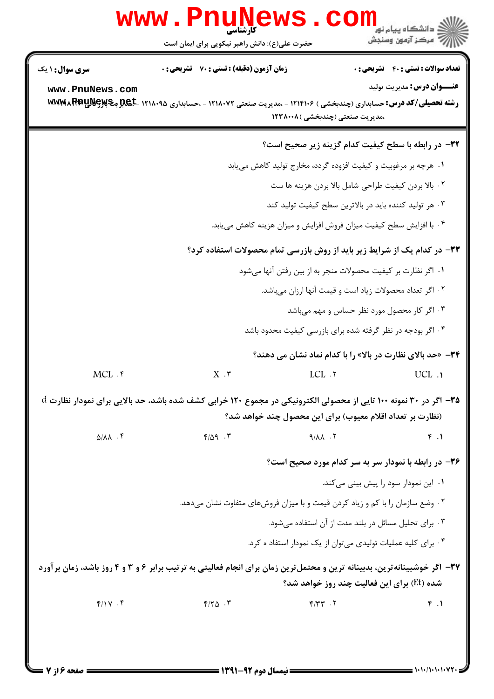|                                           | www.PnuNews                                                                                                                                                                             |                                 |                                                                                   |  |  |
|-------------------------------------------|-----------------------------------------------------------------------------------------------------------------------------------------------------------------------------------------|---------------------------------|-----------------------------------------------------------------------------------|--|--|
|                                           | حضرت علی(ع): دانش راهبر نیکویی برای ایمان است                                                                                                                                           |                                 | الاد دانشگاه پیام نور<br>۱۳۸۰ مرکز آزمون وسنجش                                    |  |  |
| <b>سری سوال :</b> ۱ یک<br>www.PnuNews.com | زمان آزمون (دقیقه) : تستی : 70 ٪ تشریحی : 0<br><b>رشته تحصیلی/کد درس:</b> حسابداری (چندبخشی ) ۱۲۱۴۱۰۶ - ،مدیریت صنعتی ۱۲۱۸۰۷۲ - ،حسابداری ۱۲۱۸۰۹۵ <b>-ABL میآیا WEMMA RPP</b>           |                                 | <b>تعداد سوالات : تستی : 40 ٪ تشریحی : 0</b><br><b>عنـــوان درس:</b> مديريت توليد |  |  |
|                                           |                                                                                                                                                                                         | ،مدیریت صنعتی (چندبخشی )۱۲۳۸۰۰۸ |                                                                                   |  |  |
|                                           |                                                                                                                                                                                         |                                 | ۳۲- در رابطه با سطح کیفیت کدام گزینه زیر صحیح است؟                                |  |  |
|                                           | ۰۱ هرچه بر مرغوبیت و کیفیت افزوده گردد، مخارج تولید کاهش می یابد                                                                                                                        |                                 |                                                                                   |  |  |
|                                           | ٠٢ بالا بردن كيفيت طراحي شامل بالا بردن هزينه ها ست                                                                                                                                     |                                 |                                                                                   |  |  |
|                                           | ۰۳ هر تولید کننده باید در بالاترین سطح کیفیت تولید کند                                                                                                                                  |                                 |                                                                                   |  |  |
|                                           | ۰۴ با افزایش سطح کیفیت میزان فروش افزایش و میزان هزینه کاهش می یابد.                                                                                                                    |                                 |                                                                                   |  |  |
|                                           | ۳۳- در کدام یک از شرایط زیر باید از روش بازرسی تمام محصولات استفاده کرد؟                                                                                                                |                                 |                                                                                   |  |  |
|                                           | ٠١ اگر نظارت بر كيفيت محصولات منجر به از بين رفتن آنها ميشود                                                                                                                            |                                 |                                                                                   |  |  |
|                                           | ۰۲ اگر تعداد محصولات زیاد است و قیمت آنها ارزان میباشد.                                                                                                                                 |                                 |                                                                                   |  |  |
|                                           |                                                                                                                                                                                         |                                 | ۰۳ اگر کار محصول مورد نظر حساس و مهم میباشد                                       |  |  |
|                                           |                                                                                                                                                                                         |                                 | ۰۴ اگر بودجه در نظر گرفته شده برای بازرسی کیفیت محدود باشد                        |  |  |
|                                           |                                                                                                                                                                                         |                                 | <b>۳۴</b> - «حد بالای نظارت در بالا» را با کدام نماد نشان می دهند؟                |  |  |
| $MCL$ $.$                                 | $X \cdot Y$                                                                                                                                                                             | LCL . M                         | UCL .                                                                             |  |  |
|                                           | $\rm d$ اگر در ۳۰ نمونه ۱۰۰ تایی از محصولی الکترونیکی در مجموع ۱۲۰ خرابی کشف شده باشد، حد بالایی برای نمودار نظارت $\rm d$<br>(نظارت بر تعداد اقلام معیوب) برای این محصول چند خواهد شد؟ |                                 |                                                                                   |  |  |
| $\Delta/\lambda\lambda$ . ۴               | $F/\Delta q$ .                                                                                                                                                                          | $9/\lambda\lambda$ . $5$        | f.1                                                                               |  |  |
|                                           |                                                                                                                                                                                         |                                 | ۳۶- در رابطه با نمودار سر به سر کدام مورد صحیح است؟                               |  |  |
|                                           |                                                                                                                                                                                         |                                 | ۰۱ این نمودار سود را پیش بینی میکند.                                              |  |  |
|                                           | ۰۲ وضع سازمان را با کم و زیاد کردن قیمت و با میزان فروشهای متفاوت نشان میدهد.                                                                                                           |                                 |                                                                                   |  |  |
|                                           |                                                                                                                                                                                         |                                 | ۰۳ برای تحلیل مسائل در بلند مدت از آن استفاده میشود.                              |  |  |
|                                           |                                                                                                                                                                                         |                                 | ۰۴ برای کلیه عملیات تولیدی میتوان از یک نمودار استفاد ه کرد.                      |  |  |
|                                           | ۳۷- اگر خوشبینانهترین، بدبینانه ترین و محتملترین زمان برای انجام فعالیتی به ترتیب برابر ۶ و ۳ و ۴ روز باشد، زمان برآورد                                                                 |                                 |                                                                                   |  |  |
|                                           |                                                                                                                                                                                         |                                 | شده (Et) برای این فعالیت چند روز خواهد شد؟                                        |  |  |
| f/Y . f                                   | $Y/Y\Delta$ .                                                                                                                                                                           | $Y - \gamma \gamma$             | f.1                                                                               |  |  |
|                                           |                                                                                                                                                                                         |                                 |                                                                                   |  |  |
|                                           |                                                                                                                                                                                         |                                 |                                                                                   |  |  |

&/'&#&#&/#&#&# نيمسال دوم 1391-92 صفحه 6 از 7